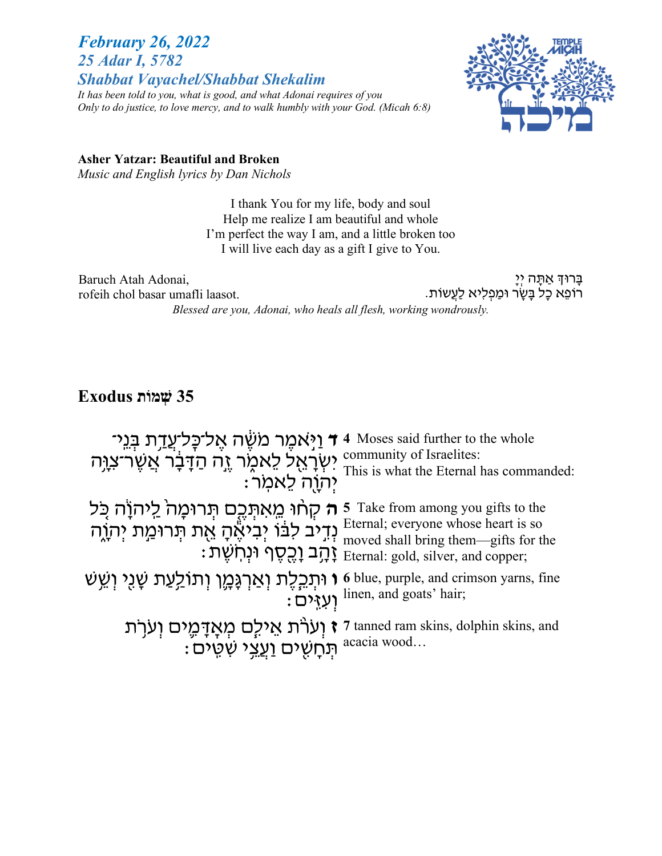## *February 26, 2022 25 Adar I, 5782 Shabbat Vayachel/Shabbat Shekalim*

*It has been told to you, what is good, and what Adonai requires of you Only to do justice, to love mercy, and to walk humbly with your God. (Micah 6:8)*



**Asher Yatzar: Beautiful and Broken**

*Music and English lyrics by Dan Nichols*

I thank You for my life, body and soul Help me realize I am beautiful and whole I'm perfect the way I am, and a little broken too I will live each day as a gift I give to You.

Baruch Atah Adonai, rofeih chol basar umafli laasot.

ַבְּרוּדְּ אֲתָּה יְיָ ָרוֹפֵא כַל בַּשָׂר וּמַפְלִיא לַעֲשוֹת.

*Blessed are you, Adonai, who heals all flesh, working wondrously.*

# **35 תוֹמְשׁ Exodus**

| יִאָל־כָּל־עֲדָת בְּנֵי f 4 Moses said further to the whole<br>יִשְׂרְאֵל לֵאמֶר זֶה הַדָּבָר אֲשֶׁר־צִוָּּה community of Israelites:<br>יְהוָה לֵאמְר :                                                                           |                                                                                                                         |
|------------------------------------------------------------------------------------------------------------------------------------------------------------------------------------------------------------------------------------|-------------------------------------------------------------------------------------------------------------------------|
| ה קְחָוּ מֵאתְּבֶם תְּרוּמָהֹ לַיהוֹה כָּל 5 Take from among you gifts to the<br>וְדֵיב לִבּוֹ יְבִיאֶהָ אֱת תְּרוּמַת יְהֹוֶח Eternal; everyone whose heart is so<br>הָב וָכֻסֶף וּנְחִשָּׁת : Eternal: gold, silver, and copper; |                                                                                                                         |
| וּתְכִלֶת וְאַרְגָּמֶן וְתוֹלַעַת שָׁגִי וְשֵׁשׁ 6 blue, purple, and crimson yarns, fine<br>וְעָזֵים : linen, and goats' hair;                                                                                                     |                                                                                                                         |
|                                                                                                                                                                                                                                    | יִעְרֹת אֵילֶם מְאֲדָמֶים וְעֹרָת זָינְיָם יִצְן 7 tanned ram skins, dolphin skins, and<br>תְּחָשִׁים וַעֲצִי שִׁמִּים: |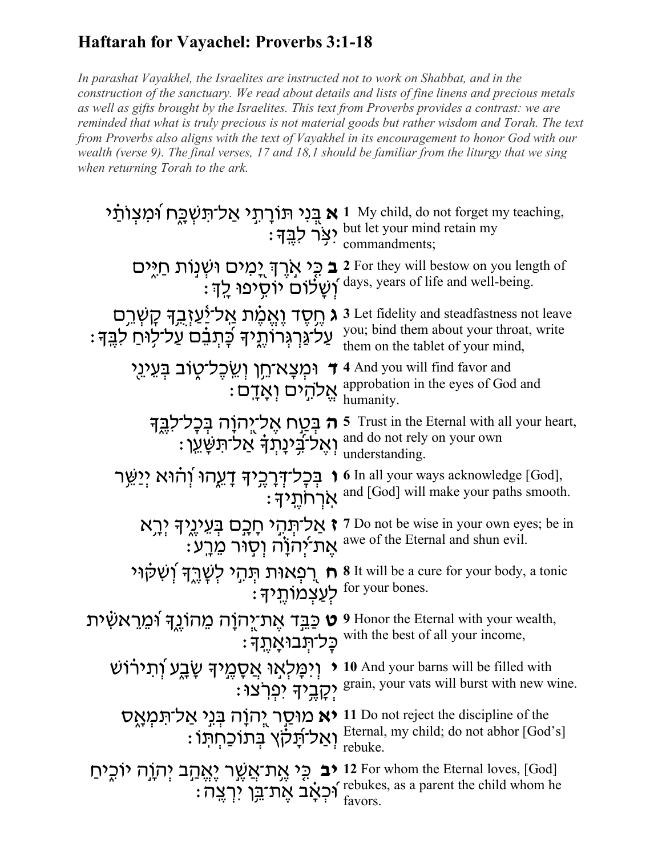# **Haftarah for Vayachel: Proverbs 3:1-18**

*In parashat Vayakhel, the Israelites are instructed not to work on Shabbat, and in the construction of the sanctuary. We read about details and lists of fine linens and precious metals as well as gifts brought by the Israelites. This text from Proverbs provides a contrast: we are reminded that what is truly precious is not material goods but rather wisdom and Torah. The text from Proverbs also aligns with the text of Vayakhel in its encouragement to honor God with our wealth (verse 9). The final verses, 17 and 18,1 should be familiar from the liturgy that we sing when returning Torah to the ark.*

| א בְּנִי תּוֹרָתְי אַל־תִּשְׁכֶח וּׁמִצְוֹתַׂי 1 My child, do not forget my teaching,<br>יצָר לִבֶּךָ:<br>פֵר לִבֶּךָ: commandments; |                                                                                                                           |
|--------------------------------------------------------------------------------------------------------------------------------------|---------------------------------------------------------------------------------------------------------------------------|
| <b>ב</b> כֵּי אָרֵךְ יָמִים וּשְׁנְוֹת חַיִּים<br>ֿוְשָׂלוֹם יוֹסֵיפוּ לַךְ:                                                         | 2 For they will bestow on you length of<br>days, years of life and well-being.                                            |
| ג חֵסֵד וַאֱמֶׁת אֲל־יַ <u>ּ</u> ׂעַזָּבְדְּ קָשְׁרֵם<br>עַלֹ גַּרְגְרוֹתֱיךּ כָּתְבֵם עַל־לְוּחַ לִבֵּךְ:                           | 3 Let fidelity and steadfastness not leave<br>you; bind them about your throat, write<br>them on the tablet of your mind, |
| ר וּמִצָא־חֵן וְשֵׂכְל־טָוֹב בְּעֵינֵי <del>ו</del><br>ּאֱלֹהָים וְאָדָם                                                             | 4 And you will find favor and<br>approbation in the eyes of God and<br>humanity.                                          |
| <del>ה</del> בְּטַח אֶלֹיֳהוָה בְּכָל־לָבֶךָ<br>וְאֵל־בְינָתְדָּ אַל־תִּשָּׁעֵן:                                                     | Trust in the Eternal with all your heart,<br>and do not rely on your own<br>understanding.                                |
| בִּכָל־דְּרָכֵיךְ דָעֱהוּ וְהוּא יְיַשֵּׁר<br>: ארחתֵיד                                                                              | 6 In all your ways acknowledge [God],<br>and [God] will make your paths smooth.                                           |
| <b>ז אַל־תִּהְי חָבָם בְּעֵינֶיֶךְ יְרָא</b>                                                                                         | 7 Do not be wise in your own eyes; be in<br>: את־יהוֹה וְסְוּר מֵרָע awe of the Eternal and shun evil.                    |
|                                                                                                                                      | רְפְאוּת תְּהֵי לְשָׁרֵךְ וְשִׁקֹוּי 8 It will be a cure for your body, a tonic<br>: לְעַצְמוֹתֶיךָ for your bones.       |
| ית אַת־יְהוָה מַהוֹגֶדְ וּמֵרַאשִׂית 9 Honor the Eternal with your wealth,<br><b>ָּכָל־תָּבוּאָתֶד</b>                               | with the best of all your income,                                                                                         |
| וְיִמָּלְאָוּ אֲסָמֶיךָּ שָׂבָע וְתירוֹשׁ                                                                                            | 10 And your barns will be filled with<br>: יִקְבְיךָ יִפְרְצוּ: grain, your vats will burst with new wine.                |
| יא מוּסַר יְהוָה בְּנִי אַל־תִּמְאֶס Do not reject the liscipline of the                                                             | : יאַל־תְּלֹיְלָקוֹן Eternal, my child; do not abhor [God's]<br>פאטרונג rebuke.                                           |
| for whom the Eternal loves, [God] <b>יב</b> כֵּי אֶת־אֲשֶׁר יָאֱהַב יְהֹוָה יוֹכֶיחַ                                                 | : יְבְאָת־בָן יִרְצֶה $\int_{\text{factors}}^{\text{rebukes, as a parent the child whom he}}$<br>favors.                  |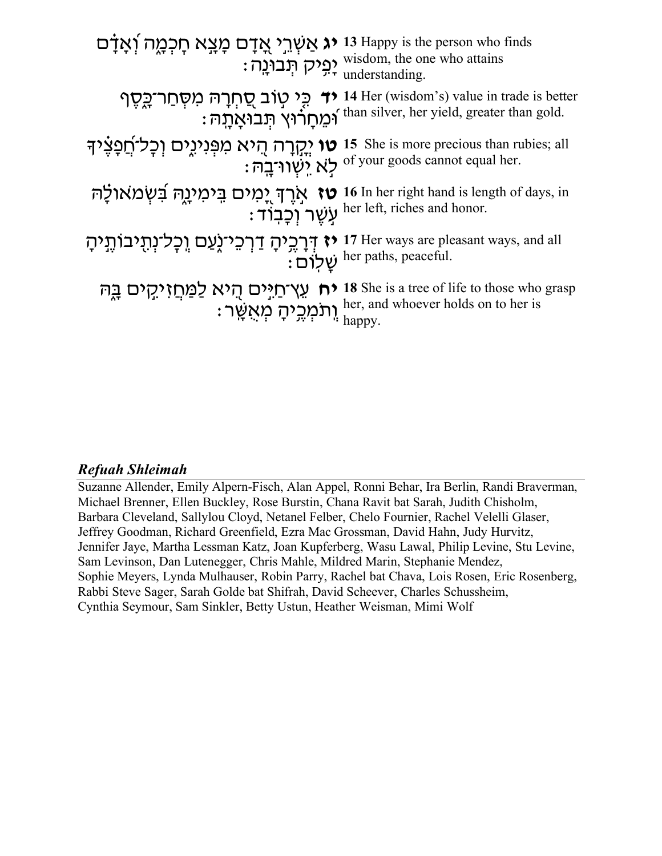| ג אַשְׁרֵי אֲדָם מָצָא חָכְמֶה וְׁאָדָם "<br>פִיק תְּבוּנֶה (Pytadom, the one who attains יְפִיק תְּבוּנֶה (Pytadom, the one who attains י              |                                                                                                                                                                       |
|---------------------------------------------------------------------------------------------------------------------------------------------------------|-----------------------------------------------------------------------------------------------------------------------------------------------------------------------|
|                                                                                                                                                         | <b>יד</b> כֵ <i>י טוב סַ</i> חְרָהּ מִסְחַר־כֶּסֶף 14 Her (wisdom's) value in trade is better<br>וּמֵחַרוֹיץ תִּבוּאָתָה : than silver, her yield, greater than gold. |
| י יִקְרָה הִיא מִפְנִיגֵים וְכָל־חֲפָצִיךּ is she is more precious than rubies; all<br>לְא יִשְׁווֹ־בָה:                                                |                                                                                                                                                                       |
| אָרֶךְ יָמִים בִּימִינֻגֶה בִּשְׂמאולָה 16 In her right hand is length of days, in<br>עִשֶׁר וְכָבְוֹד :<br>עִשֶׁר וְכָבְוֹד er left, riches and honor. |                                                                                                                                                                       |
| ו 17 Her ways are pleasant ways, and all יָבְלִיהָ דַרְכֵי־לֶעַם וְכָל־נְתָיבוֹתֶיִיהָ her paths, peaceful.                                             |                                                                                                                                                                       |
| ית עֵצְיחַיִּים הֻיֹא לַמַּחֲזִיקִים בֳה 18 She is a tree of life to those who grasp<br>וְתֹמְכִיהָ מְאִשָּׁר : happy.                                  |                                                                                                                                                                       |

## **Refuah Shleimah**

Suzanne Allender, Emily Alpern-Fisch, Alan Appel, Ronni Behar, Ira Berlin, Randi Braverman, Michael Brenner, Ellen Buckley, Rose Burstin, Chana Ravit bat Sarah, Judith Chisholm, Barbara Cleveland, Sallylou Cloyd, Netanel Felber, Chelo Fournier, Rachel Velelli Glaser, Jeffrey Goodman, Richard Greenfield, Ezra Mac Grossman, David Hahn, Judy Hurvitz, Jennifer Jaye, Martha Lessman Katz, Joan Kupferberg, Wasu Lawal, Philip Levine, Stu Levine, Sam Levinson, Dan Lutenegger, Chris Mahle, Mildred Marin, Stephanie Mendez, Sophie Meyers, Lynda Mulhauser, Robin Parry, Rachel bat Chava, Lois Rosen, Eric Rosenberg, Rabbi Steve Sager, Sarah Golde bat Shifrah, David Scheever, Charles Schussheim, Cynthia Seymour, Sam Sinkler, Betty Ustun, Heather Weisman, Mimi Wolf